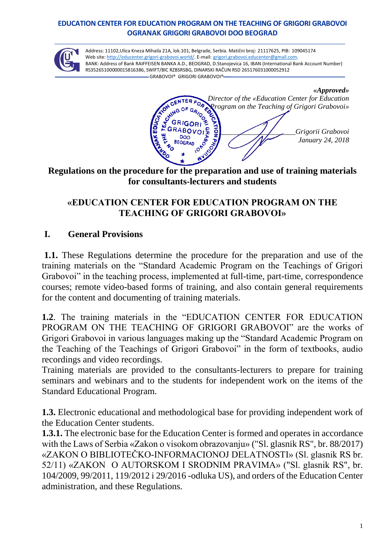#### **EDUCATION CENTER FOR EDUCATION PROGRAM ON THE TEACHING OF GRIGORI GRABOVOI OGRANAK GRIGORI GRABOVOI DOO BEOGRAD**



Аddress: 11102,Ulica Kneza Mihaila 21A, lok.101, Belgrade, Serbia. Matični broj: 21117625, PIB: 109045174 Web site: [http://educenter.grigori-grabovoi.world/.](http://educenter.grigori-grabovoi.world/) E-mail: [grigori.grabovoi.educenter@gmail.com.](mailto:grigori.grabovoi.educenter@gmail.com) BANK: Address of Bank RAIFFEISEN BANKA A.D., BEOGRAD, D.Stanojevica 16, IBAN (International Bank Account Number) RS35265100000015816386, SWlFT/BlC RZBSRSBG, DINARSKI RAČUN RSD 265176031000052912 GRABOVOI® GRIGORI GRABOVOI®

*«Approved» Director of the «Education Center for Education Program on the Teaching of Grigori Grabovoi»* **z**<br>*Grigorii Grabovoi*<br>*January* 24, 2018 RABOV DOO *January 24, 2018*

#### **Regulations on the procedure for the preparation and use of training materials for consultants-lecturers and students**

## **«EDUCATION CENTER FOR EDUCATION PROGRAM ON THE TEACHING OF GRIGORI GRABOVOI»**

#### **I. General Provisions**

**1.1.** These Regulations determine the procedure for the preparation and use of the training materials on the "Standard Academic Program on the Teachings of Grigori Grabovoi" in the teaching process, implemented at full-time, part-time, correspondence courses; remote video-based forms of training, and also contain general requirements for the content and documenting of training materials.

**1.2**. The training materials in the "EDUCATION CENTER FOR EDUCATION PROGRAM ON THE TEACHING OF GRIGORI GRABOVOI" are the works of Grigori Grabovoi in various languages making up the "Standard Academic Program on the Teaching of the Teachings of Grigori Grabovoi" in the form of textbooks, audio recordings and video recordings.

Training materials are provided to the consultants-lecturers to prepare for training seminars and webinars and to the students for independent work on the items of the Standard Educational Program.

**1.3.** Electronic educational and methodological base for providing independent work of the Education Center students.

**1.3.1.** The electronic base for the Education Center is formed and operates in accordance with the Laws of Serbia «Zakon o visokom obrazovanju» ("Sl. glasnik RS", br. 88/2017) «ZAKON O BIBLIOTEČKO-INFORMACIONOJ DELATNOSTI» (Sl. glasnik RS br. 52/11) «ZAKON O AUTORSKOM I SRODNIM PRAVIMA» ("Sl. glasnik RS", br. 104/2009, 99/2011, 119/2012 i 29/2016 -odluka US), and orders of the Education Center administration, and these Regulations.